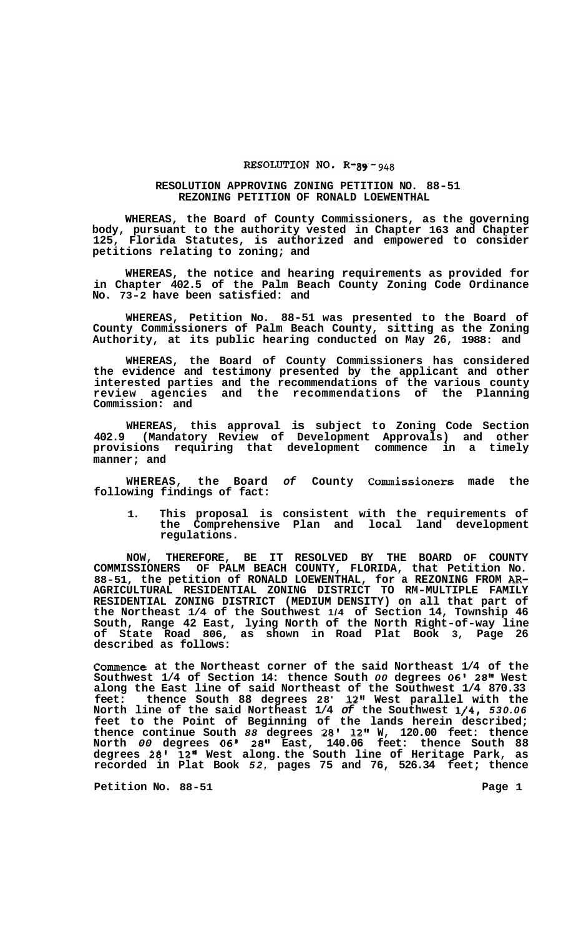## RESOLUTION NO.  $R-gg-g_{48}$

## **RESOLUTION APPROVING ZONING PETITION NO. 88-51 REZONING PETITION OF RONALD LOEWENTHAL**

**WHEREAS, the Board of County Commissioners, as the governing body, pursuant to the authority vested in Chapter 163 and Chapter 125, Florida Statutes, is authorized and empowered to consider petitions relating to zoning; and** 

**WHEREAS, the notice and hearing requirements as provided for in Chapter 402.5 of the Palm Beach County Zoning Code Ordinance No. 73-2 have been satisfied: and** 

**WHEREAS, Petition No. 88-51 was presented to the Board of County Commissioners of Palm Beach County, sitting as the Zoning Authority, at its public hearing conducted on May 26, 1988: and** 

**WHEREAS, the Board of County Commissioners has considered the evidence and testimony presented by the applicant and other interested parties and the recommendations of the various county review agencies and the recommendations of the Planning Commission: and** 

**WHEREAS, this approval is subject to Zoning Code Section 402.9 (Mandatory Review of Development Approvals) and other provisions requiring that development commence in a timely manner; and** 

**WHEREAS, the Board** *of* **County Commissioners made the following findings of fact:** 

**1. This proposal is consistent with the requirements of the Comprehensive Plan and local land development regulations.** 

**NOW, THEREFORE, BE IT RESOLVED BY THE BOARD OF COUNTY COMMISSIONERS OF PALM BEACH COUNTY, FLORIDA, that Petition No. 88-51, the petition of RONALD LOEWENTHAL, for a REZONING FROM** *AR-***RESIDENTIAL ZONING DISTRICT (MEDIUM DENSITY) on all that part of the Northeast 1/4 of the Southwest 1/4 of Section 14, Township 46 South, Range 42 East, lying North of the North Right-of-way line of State Road 806, as shown in Road Plat Book 3, Page 26 described as follows: AGRICULTURAL RESIDENTIAL ZONING DISTRICT TO RM-MULTIPLE FAMILY** 

**Commence at the Northeast corner of the said Northeast 1/4 of the Southwest 1/4 of Section 14: thence South** *00* **degrees 06' 28'' West along the East line of said Northeast of the Southwest 1/4 870.33 feet: thence South 88 degrees 28' 12'' West parallel with the North line of the said Northeast 1/4** *of* **the Southwest 1/4,** *530.06*  **feet to the Point of Beginning of the lands herein described; thence continue South** *88* **degrees 28' 12" W, 120.00 feet: thence North** *00* **degrees 06' 28" East, 140.06 feet: thence South 88 degrees 28' 12" West along. the South line of Heritage Park, as recorded in Plat Book** *52,* **pages 75 and 76, 526.34 feet; thence** 

**Petition No. 88-51 Page 1**